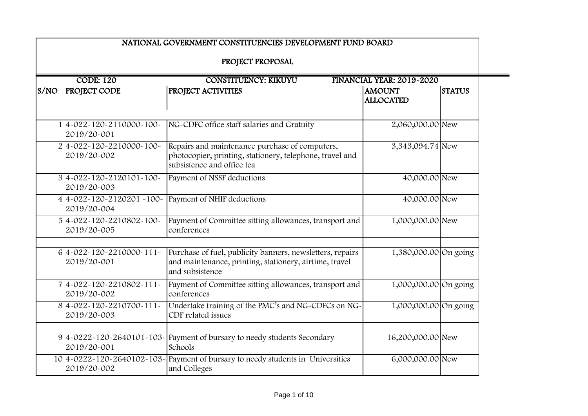|                                                                              |                                            | NATIONAL GOVERNMENT CONSTITUENCIES DEVELOPMENT FUND BOARD                                                                                |                                   |               |  |
|------------------------------------------------------------------------------|--------------------------------------------|------------------------------------------------------------------------------------------------------------------------------------------|-----------------------------------|---------------|--|
|                                                                              |                                            | PROJECT PROPOSAL                                                                                                                         |                                   |               |  |
| <b>CODE: 120</b><br><b>CONSTITUENCY: KIKUYU</b><br>FINANCIAL YEAR: 2019-2020 |                                            |                                                                                                                                          |                                   |               |  |
| S/NO                                                                         | <b>PROJECT CODE</b>                        | PROJECT ACTIVITIES                                                                                                                       | <b>AMOUNT</b><br><b>ALLOCATED</b> | <b>STATUS</b> |  |
|                                                                              | $1 4-022-120-2110000-100-$<br>2019/20-001  | NG-CDFC office staff salaries and Gratuity                                                                                               | 2,060,000.00 New                  |               |  |
|                                                                              | $2 4-022-120-2210000-100-$<br>2019/20-002  | Repairs and maintenance purchase of computers,<br>photocopier, printing, stationery, telephone, travel and<br>subsistence and office tea | 3,343,094.74 New                  |               |  |
|                                                                              | $3 4-022-120-2120101-100-$<br>2019/20-003  | Payment of NSSF deductions                                                                                                               | 40,000.00 New                     |               |  |
|                                                                              | $414-022-120-2120201-100-$<br>2019/20-004  | Payment of NHIF deductions                                                                                                               | 40,000.00 New                     |               |  |
|                                                                              | 54-022-120-2210802-100-<br>2019/20-005     | Payment of Committee sitting allowances, transport and<br>conferences                                                                    | 1,000,000.00 New                  |               |  |
|                                                                              | $6 4-022-120-2210000-111-$<br>2019/20-001  | Purchase of fuel, publicity banners, newsletters, repairs<br>and maintenance, printing, stationery, airtime, travel<br>and subsistence   | 1,380,000.00 On going             |               |  |
|                                                                              | 74-022-120-2210802-111-<br>2019/20-002     | Payment of Committee sitting allowances, transport and<br>conferences                                                                    | 1,000,000.00 On going             |               |  |
|                                                                              | $8 4-022-120-2210700-111-$<br>2019/20-003  | Undertake training of the PMC's and NG-CDFCs on NG-<br>CDF related issues                                                                | 1,000,000.00 On going             |               |  |
|                                                                              | $9 4-0222-120-2640101-103-$<br>2019/20-001 | Payment of bursary to needy students Secondary<br>Schools                                                                                | 16,200,000.00 New                 |               |  |
|                                                                              | 2019/20-002                                | 10 4 - 0222 - 120 - 2640102 - 103 - Payment of bursary to needy students in Universities<br>and Colleges                                 | 6,000,000.00 New                  |               |  |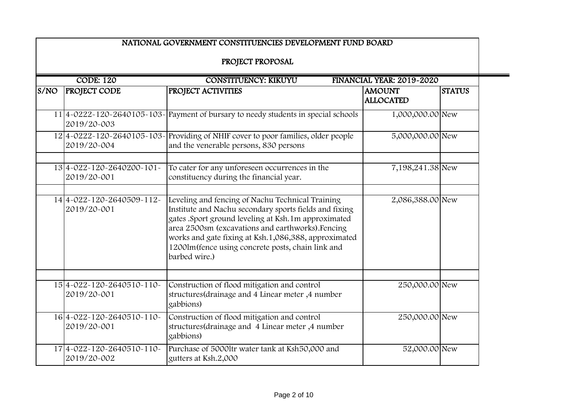|      | NATIONAL GOVERNMENT CONSTITUENCIES DEVELOPMENT FUND BOARD<br>PROJECT PROPOSAL |                                                                                                                                                                                                                                                                                                                                                     |                                   |               |  |  |
|------|-------------------------------------------------------------------------------|-----------------------------------------------------------------------------------------------------------------------------------------------------------------------------------------------------------------------------------------------------------------------------------------------------------------------------------------------------|-----------------------------------|---------------|--|--|
|      |                                                                               |                                                                                                                                                                                                                                                                                                                                                     |                                   |               |  |  |
|      | <b>CODE: 120</b><br><b>CONSTITUENCY: KIKUYU</b><br>FINANCIAL YEAR: 2019-2020  |                                                                                                                                                                                                                                                                                                                                                     |                                   |               |  |  |
| S/NO | <b>PROJECT CODE</b>                                                           | PROJECT ACTIVITIES                                                                                                                                                                                                                                                                                                                                  | <b>AMOUNT</b><br><b>ALLOCATED</b> | <b>STATUS</b> |  |  |
|      | 2019/20-003                                                                   | $11 4-0222-120-2640105-103-$ Payment of bursary to needy students in special schools                                                                                                                                                                                                                                                                | 1,000,000.00 New                  |               |  |  |
|      | 2019/20-004                                                                   | 12 4-0222-120-2640105-103- Providing of NHIF cover to poor families, older people<br>and the venerable persons, 830 persons                                                                                                                                                                                                                         | 5,000,000.00 New                  |               |  |  |
|      | $13 4-022-120-2640200-101-$<br>2019/20-001                                    | To cater for any unforeseen occurrences in the<br>constituency during the financial year.                                                                                                                                                                                                                                                           | 7,198,241.38 New                  |               |  |  |
|      | 14 4-022-120-2640509-112-<br>2019/20-001                                      | Leveling and fencing of Nachu Technical Training<br>Institute and Nachu secondary sports fields and fixing<br>gates .Sport ground leveling at Ksh.1m approximated<br>area 2500sm (excavations and earthworks).Fencing<br>works and gate fixing at Ksh.1,086,388, approximated<br>1200lm(fence using concrete posts, chain link and<br>barbed wire.) | 2,086,388.00 New                  |               |  |  |
|      | 154-022-120-2640510-110-<br>2019/20-001                                       | Construction of flood mitigation and control<br>structures (drainage and 4 Linear meter, 4 number<br>gabbions)                                                                                                                                                                                                                                      | 250,000.00 New                    |               |  |  |
|      | 164-022-120-2640510-110-<br>2019/20-001                                       | Construction of flood mitigation and control<br>structures (drainage and 4 Linear meter, 4 number<br>gabbions)                                                                                                                                                                                                                                      | 250,000.00 New                    |               |  |  |
|      | 174-022-120-2640510-110-<br>2019/20-002                                       | Purchase of 5000ltr water tank at Ksh50,000 and<br>gutters at Ksh.2,000                                                                                                                                                                                                                                                                             | 52,000.00 New                     |               |  |  |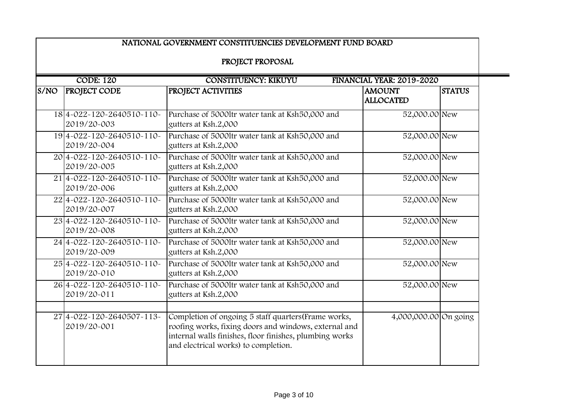| PROJECT PROPOSAL<br><b>CODE: 120</b><br><b>CONSTITUENCY: KIKUYU</b><br>FINANCIAL YEAR: 2019-2020 |                                                   |                                                                                                                                                                                                                  |                                   |               |
|--------------------------------------------------------------------------------------------------|---------------------------------------------------|------------------------------------------------------------------------------------------------------------------------------------------------------------------------------------------------------------------|-----------------------------------|---------------|
| S/NO                                                                                             | <b>PROJECT CODE</b>                               | PROJECT ACTIVITIES                                                                                                                                                                                               | <b>AMOUNT</b><br><b>ALLOCATED</b> | <b>STATUS</b> |
|                                                                                                  | $18 4-022-120-2640510-110-$<br>2019/20-003        | Purchase of 5000ltr water tank at Ksh50,000 and<br>gutters at Ksh.2,000                                                                                                                                          | 52,000.00 New                     |               |
|                                                                                                  | 194-022-120-2640510-110-<br>2019/20-004           | Purchase of 5000ltr water tank at Ksh50,000 and<br>gutters at Ksh.2,000                                                                                                                                          | 52,000.00 New                     |               |
|                                                                                                  | 20 4 - 022 - 120 - 2640510 - 110 -<br>2019/20-005 | Purchase of 5000ltr water tank at Ksh50,000 and<br>gutters at Ksh.2,000                                                                                                                                          | 52,000.00 New                     |               |
|                                                                                                  | 214-022-120-2640510-110-<br>2019/20-006           | Purchase of 50001tr water tank at Ksh50,000 and<br>gutters at Ksh.2,000                                                                                                                                          | 52,000.00 New                     |               |
|                                                                                                  | 224-022-120-2640510-110-<br>2019/20-007           | Purchase of 5000ltr water tank at Ksh50,000 and<br>gutters at Ksh.2,000                                                                                                                                          | 52,000.00 New                     |               |
|                                                                                                  | 234-022-120-2640510-110-<br>2019/20-008           | Purchase of 5000ltr water tank at Ksh50,000 and<br>gutters at Ksh.2,000                                                                                                                                          | 52,000.00 New                     |               |
|                                                                                                  | 24 4-022-120-2640510-110-<br>2019/20-009          | Purchase of 5000ltr water tank at Ksh50,000 and<br>gutters at Ksh.2,000                                                                                                                                          | 52,000.00 New                     |               |
|                                                                                                  | 254-022-120-2640510-110-<br>2019/20-010           | Purchase of 5000ltr water tank at Ksh50,000 and<br>gutters at Ksh.2,000                                                                                                                                          | 52,000.00 New                     |               |
|                                                                                                  | 26 4-022-120-2640510-110-<br>2019/20-011          | Purchase of 5000ltr water tank at Ksh50,000 and<br>gutters at Ksh.2,000                                                                                                                                          | 52,000.00 New                     |               |
|                                                                                                  | 274-022-120-2640507-113-<br>2019/20-001           | Completion of ongoing 5 staff quarters (Frame works,<br>roofing works, fixing doors and windows, external and<br>internal walls finishes, floor finishes, plumbing works<br>and electrical works) to completion. | 4,000,000.00 On going             |               |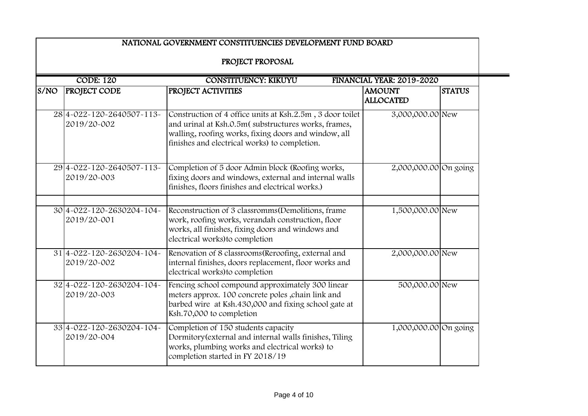|                                                                              |                                                    | NATIONAL GOVERNMENT CONSTITUENCIES DEVELOPMENT FUND BOARD                                                                                                                                                                 |                                   |               |  |
|------------------------------------------------------------------------------|----------------------------------------------------|---------------------------------------------------------------------------------------------------------------------------------------------------------------------------------------------------------------------------|-----------------------------------|---------------|--|
| PROJECT PROPOSAL                                                             |                                                    |                                                                                                                                                                                                                           |                                   |               |  |
| <b>CODE: 120</b><br><b>CONSTITUENCY: KIKUYU</b><br>FINANCIAL YEAR: 2019-2020 |                                                    |                                                                                                                                                                                                                           |                                   |               |  |
| S/NO                                                                         | <b>PROJECT CODE</b>                                | PROJECT ACTIVITIES                                                                                                                                                                                                        | <b>AMOUNT</b><br><b>ALLOCATED</b> | <b>STATUS</b> |  |
|                                                                              | 284-022-120-2640507-113-<br>2019/20-002            | Construction of 4 office units at Ksh.2.5m, 3 door toilet<br>and urinal at Ksh.O.5m(substructures works, frames,<br>walling, roofing works, fixing doors and window, all<br>finishes and electrical works) to completion. | 3,000,000.00 New                  |               |  |
|                                                                              | 294-022-120-2640507-113-<br>2019/20-003            | Completion of 5 door Admin block (Roofing works,<br>fixing doors and windows, external and internal walls<br>finishes, floors finishes and electrical works.)                                                             | 2,000,000.00 On going             |               |  |
|                                                                              | 30 4 - 022 - 120 - 2630 204 - 104 -<br>2019/20-001 | Reconstruction of 3 classromms (Demolitions, frame<br>work, roofing works, verandah construction, floor<br>works, all finishes, fixing doors and windows and<br>electrical works) to completion                           | 1,500,000.00 New                  |               |  |
|                                                                              | 314-022-120-2630204-104-<br>2019/20-002            | Renovation of 8 classrooms (Reroofing, external and<br>internal finishes, doors replacement, floor works and<br>electrical works) to completion                                                                           | 2,000,000.00 New                  |               |  |
|                                                                              | 324-022-120-2630204-104-<br>2019/20-003            | Fencing school compound approximately 300 linear<br>meters approx. 100 concrete poles , chain link and<br>barbed wire at Ksh.430,000 and fixing school gate at<br>Ksh.70,000 to completion                                | 500,000.00 New                    |               |  |
|                                                                              | 334-022-120-2630204-104-<br>2019/20-004            | Completion of 150 students capacity<br>Dormitory (external and internal walls finishes, Tiling<br>works, plumbing works and electrical works) to<br>completion started in FY 2018/19                                      | 1,000,000.00 On going             |               |  |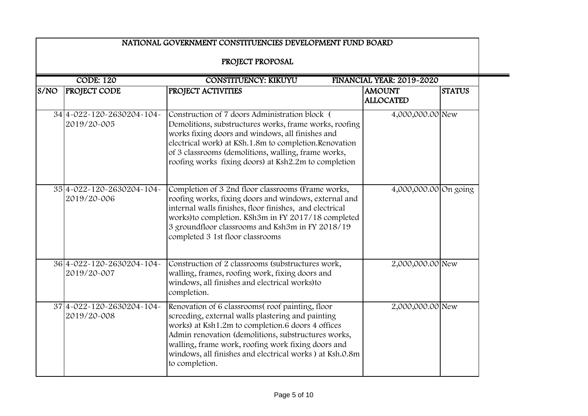|                                                                              |                                          | NATIONAL GOVERNMENT CONSTITUENCIES DEVELOPMENT FUND BOARD<br>PROJECT PROPOSAL                                                                                                                                                                                                                                                                       |                                   |               |  |
|------------------------------------------------------------------------------|------------------------------------------|-----------------------------------------------------------------------------------------------------------------------------------------------------------------------------------------------------------------------------------------------------------------------------------------------------------------------------------------------------|-----------------------------------|---------------|--|
| <b>CODE: 120</b><br><b>CONSTITUENCY: KIKUYU</b><br>FINANCIAL YEAR: 2019-2020 |                                          |                                                                                                                                                                                                                                                                                                                                                     |                                   |               |  |
| S/NO                                                                         | <b>PROJECT CODE</b>                      | PROJECT ACTIVITIES                                                                                                                                                                                                                                                                                                                                  | <b>AMOUNT</b><br><b>ALLOCATED</b> | <b>STATUS</b> |  |
|                                                                              | 34 4-022-120-2630204-104-<br>2019/20-005 | Construction of 7 doors Administration block (<br>Demolitions, substructures works, frame works, roofing<br>works fixing doors and windows, all finishes and<br>electrical work) at KSh.1.8m to completion.Renovation<br>of 3 classrooms (demolitions, walling, frame works,<br>roofing works fixing doors) at Ksh2.2m to completion                | 4,000,000.00 New                  |               |  |
|                                                                              | 354-022-120-2630204-104-<br>2019/20-006  | Completion of 3 2nd floor classrooms (Frame works,<br>roofing works, fixing doors and windows, external and<br>internal walls finishes, floor finishes, and electrical<br>works) to completion. KSh3m in FY 2017/18 completed<br>3 groundfloor classrooms and Ksh3m in FY 2018/19<br>completed 3 1st floor classrooms                               | 4,000,000.00 On going             |               |  |
|                                                                              | 364-022-120-2630204-104-<br>2019/20-007  | Construction of 2 classrooms (substructures work,<br>walling, frames, roofing work, fixing doors and<br>windows, all finishes and electrical works) to<br>completion.                                                                                                                                                                               | 2,000,000.00 New                  |               |  |
|                                                                              | 374-022-120-2630204-104-<br>2019/20-008  | Renovation of 6 classrooms(roof painting, floor<br>screeding, external walls plastering and painting<br>works) at Ksh1.2m to completion.6 doors 4 offices<br>Admin renovation (demolitions, substructures works,<br>walling, frame work, roofing work fixing doors and<br>windows, all finishes and electrical works) at Ksh.0.8m<br>to completion. | 2,000,000.00 New                  |               |  |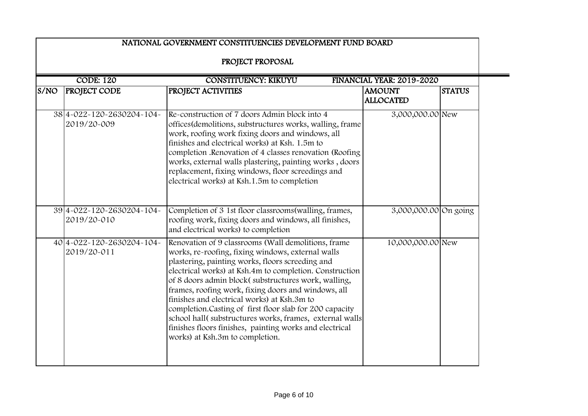| NATIONAL GOVERNMENT CONSTITUENCIES DEVELOPMENT FUND BOARD |                                                                              |                                                                                                                                                                                                                                                                                                                                                                                                                                                                                                                                                                                                          |                                   |               |  |
|-----------------------------------------------------------|------------------------------------------------------------------------------|----------------------------------------------------------------------------------------------------------------------------------------------------------------------------------------------------------------------------------------------------------------------------------------------------------------------------------------------------------------------------------------------------------------------------------------------------------------------------------------------------------------------------------------------------------------------------------------------------------|-----------------------------------|---------------|--|
|                                                           | PROJECT PROPOSAL                                                             |                                                                                                                                                                                                                                                                                                                                                                                                                                                                                                                                                                                                          |                                   |               |  |
|                                                           | <b>CODE: 120</b><br><b>CONSTITUENCY: KIKUYU</b><br>FINANCIAL YEAR: 2019-2020 |                                                                                                                                                                                                                                                                                                                                                                                                                                                                                                                                                                                                          |                                   |               |  |
| S/NO                                                      | <b>PROJECT CODE</b>                                                          | PROJECT ACTIVITIES                                                                                                                                                                                                                                                                                                                                                                                                                                                                                                                                                                                       | <b>AMOUNT</b><br><b>ALLOCATED</b> | <b>STATUS</b> |  |
|                                                           | 384-022-120-2630204-104-<br>2019/20-009                                      | Re-construction of 7 doors Admin block into 4<br>offices (demolitions, substructures works, walling, frame<br>work, roofing work fixing doors and windows, all<br>finishes and electrical works) at Ksh. 1.5m to<br>completion .Renovation of 4 classes renovation (Roofing<br>works, external walls plastering, painting works, doors<br>replacement, fixing windows, floor screedings and<br>electrical works) at Ksh.1.5m to completion                                                                                                                                                               | 3,000,000.00 New                  |               |  |
|                                                           | 394-022-120-2630204-104-<br>2019/20-010                                      | Completion of 3 1st floor classrooms (walling, frames,<br>roofing work, fixing doors and windows, all finishes,<br>and electrical works) to completion                                                                                                                                                                                                                                                                                                                                                                                                                                                   | 3,000,000.00 On going             |               |  |
|                                                           | 40 4-022-120-2630204-104-<br>2019/20-011                                     | Renovation of 9 classrooms (Wall demolitions, frame<br>works, re-roofing, fixing windows, external walls<br>plastering, painting works, floors screeding and<br>electrical works) at Ksh.4m to completion. Construction<br>of 8 doors admin block(substructures work, walling,<br>frames, roofing work, fixing doors and windows, all<br>finishes and electrical works) at Ksh.3m to<br>completion.Casting of first floor slab for 200 capacity<br>school hall(substructures works, frames, external walls<br>finishes floors finishes, painting works and electrical<br>works) at Ksh.3m to completion. | 10,000,000.00 New                 |               |  |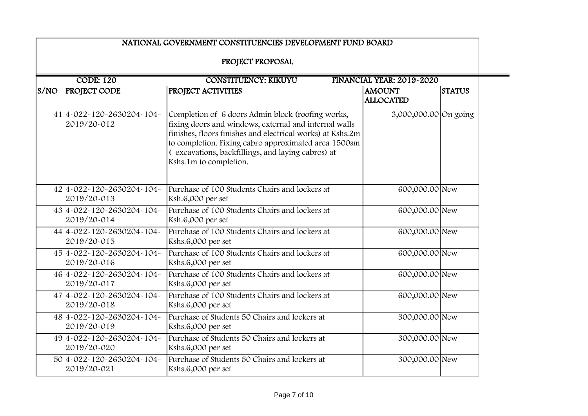|      |                                          | NATIONAL GOVERNMENT CONSTITUENCIES DEVELOPMENT FUND BOARD                                                                                                                                                                                                                                                       |                                   |               |
|------|------------------------------------------|-----------------------------------------------------------------------------------------------------------------------------------------------------------------------------------------------------------------------------------------------------------------------------------------------------------------|-----------------------------------|---------------|
|      |                                          | PROJECT PROPOSAL                                                                                                                                                                                                                                                                                                |                                   |               |
|      | <b>CODE: 120</b>                         | <b>CONSTITUENCY: KIKUYU</b>                                                                                                                                                                                                                                                                                     | FINANCIAL YEAR: 2019-2020         |               |
| S/NO | <b>PROJECT CODE</b>                      | PROJECT ACTIVITIES                                                                                                                                                                                                                                                                                              | <b>AMOUNT</b><br><b>ALLOCATED</b> | <b>STATUS</b> |
|      | 41 4-022-120-2630204-104-<br>2019/20-012 | Completion of 6 doors Admin block (roofing works,<br>fixing doors and windows, external and internal walls<br>finishes, floors finishes and electrical works) at Kshs.2m<br>to completion. Fixing cabro approximated area 1500sm<br>(excavations, backfillings, and laying cabros) at<br>Kshs.1m to completion. | 3,000,000.00 On going             |               |
|      | 424-022-120-2630204-104-<br>2019/20-013  | Purchase of 100 Students Chairs and lockers at<br>Ksh.6,000 per set                                                                                                                                                                                                                                             | 600,000.00 New                    |               |
|      | 434-022-120-2630204-104-<br>2019/20-014  | Purchase of 100 Students Chairs and lockers at<br>Ksh.6,000 per set                                                                                                                                                                                                                                             | 600,000.00 New                    |               |
|      | 44 4-022-120-2630204-104-<br>2019/20-015 | Purchase of 100 Students Chairs and lockers at<br>Kshs.6,000 per set                                                                                                                                                                                                                                            | 600,000.00 New                    |               |
|      | 454-022-120-2630204-104-<br>2019/20-016  | Purchase of 100 Students Chairs and lockers at<br>Kshs.6,000 per set                                                                                                                                                                                                                                            | 600,000.00 New                    |               |
|      | 464-022-120-2630204-104-<br>2019/20-017  | Purchase of 100 Students Chairs and lockers at<br>Kshs.6,000 per set                                                                                                                                                                                                                                            | 600,000.00 New                    |               |
|      | 47 4-022-120-2630204-104-<br>2019/20-018 | Purchase of 100 Students Chairs and lockers at<br>Kshs.6,000 per set                                                                                                                                                                                                                                            | 600,000.00 New                    |               |
|      | 484-022-120-2630204-104-<br>2019/20-019  | Purchase of Students 50 Chairs and lockers at<br>Kshs.6,000 per set                                                                                                                                                                                                                                             | 300,000.00 New                    |               |
|      | 494-022-120-2630204-104-<br>2019/20-020  | Purchase of Students 50 Chairs and lockers at<br>Kshs.6,000 per set                                                                                                                                                                                                                                             | 300,000.00 New                    |               |
|      | 504-022-120-2630204-104-<br>2019/20-021  | Purchase of Students 50 Chairs and lockers at<br>Kshs.6,000 per set                                                                                                                                                                                                                                             | 300,000.00 New                    |               |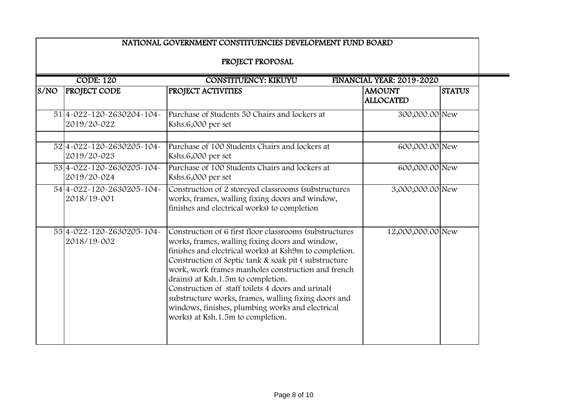|      | <b>CODE: 120</b><br><b>CONSTITUENCY: KIKUYU</b><br>FINANCIAL YEAR: 2019-2020 |                                                                                                                                                                                                                                                                                                                                                                                                                                                                                                                                |                                   |               |  |
|------|------------------------------------------------------------------------------|--------------------------------------------------------------------------------------------------------------------------------------------------------------------------------------------------------------------------------------------------------------------------------------------------------------------------------------------------------------------------------------------------------------------------------------------------------------------------------------------------------------------------------|-----------------------------------|---------------|--|
| S/NO | <b>PROJECT CODE</b>                                                          | PROJECT ACTIVITIES                                                                                                                                                                                                                                                                                                                                                                                                                                                                                                             | <b>AMOUNT</b><br><b>ALLOCATED</b> | <b>STATUS</b> |  |
|      | 51 4-022-120-2630204-104-<br>2019/20-022                                     | Purchase of Students 50 Chairs and lockers at<br>Kshs.6,000 per set                                                                                                                                                                                                                                                                                                                                                                                                                                                            | 300,000.00 New                    |               |  |
|      | 524-022-120-2630205-104-<br>2019/20-023                                      | Purchase of 100 Students Chairs and lockers at<br>Kshs.6,000 per set                                                                                                                                                                                                                                                                                                                                                                                                                                                           | 600,000.00 New                    |               |  |
|      | 534-022-120-2630205-104-<br>2019/20-024                                      | Purchase of 100 Students Chairs and lockers at<br>Kshs.6,000 per set                                                                                                                                                                                                                                                                                                                                                                                                                                                           | 600,000.00 New                    |               |  |
|      | 544-022-120-2630205-104-<br>2018/19-001                                      | Construction of 2 storeyed classrooms (substructures<br>works, frames, walling fixing doors and window,<br>finishes and electrical works) to completion                                                                                                                                                                                                                                                                                                                                                                        | 3,000,000.00 New                  |               |  |
|      | 554-022-120-2630205-104-<br>2018/19-002                                      | Construction of 6 first floor classrooms (substructures)<br>works, frames, walling fixing doors and window,<br>finishes and electrical works) at Ksh9m to completion.<br>Construction of Septic tank & soak pit (substructure<br>work, work frames manholes construction and french<br>drains) at Ksh.1.5m to completion.<br>Construction of staff toilets 4 doors and urinal<br>substructure works, frames, walling fixing doors and<br>windows, finishes, plumbing works and electrical<br>works) at Ksh.1.5m to completion. | 12,000,000.00 New                 |               |  |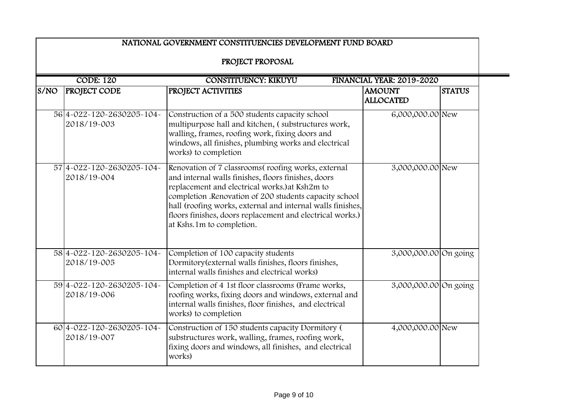|      | NATIONAL GOVERNMENT CONSTITUENCIES DEVELOPMENT FUND BOARD<br>PROJECT PROPOSAL<br><b>CODE: 120</b><br><b>CONSTITUENCY: KIKUYU</b><br>FINANCIAL YEAR: 2019-2020 |                                                                                                                                                                                                                                                                                                                                                                               |                                   |               |  |
|------|---------------------------------------------------------------------------------------------------------------------------------------------------------------|-------------------------------------------------------------------------------------------------------------------------------------------------------------------------------------------------------------------------------------------------------------------------------------------------------------------------------------------------------------------------------|-----------------------------------|---------------|--|
|      |                                                                                                                                                               |                                                                                                                                                                                                                                                                                                                                                                               |                                   |               |  |
| S/NO | <b>PROJECT CODE</b>                                                                                                                                           | PROJECT ACTIVITIES                                                                                                                                                                                                                                                                                                                                                            | <b>AMOUNT</b><br><b>ALLOCATED</b> | <b>STATUS</b> |  |
|      | 564-022-120-2630205-104-<br>2018/19-003                                                                                                                       | Construction of a 500 students capacity school<br>multipurpose hall and kitchen, (substructures work,<br>walling, frames, roofing work, fixing doors and<br>windows, all finishes, plumbing works and electrical<br>works) to completion                                                                                                                                      | 6,000,000.00 New                  |               |  |
|      | 57 4 - 022 - 120 - 2630205 - 104 -<br>2018/19-004                                                                                                             | Renovation of 7 classrooms(roofing works, external<br>and internal walls finishes, floors finishes, doors<br>replacement and electrical works.) at Ksh2m to<br>completion .Renovation of 200 students capacity school<br>hall (roofing works, external and internal walls finishes,<br>floors finishes, doors replacement and electrical works.)<br>at Kshs.1m to completion. | 3,000,000.00 New                  |               |  |
|      | 584-022-120-2630205-104-<br>2018/19-005                                                                                                                       | Completion of 100 capacity students<br>Dormitory (external walls finishes, floors finishes,<br>internal walls finishes and electrical works)                                                                                                                                                                                                                                  | 3,000,000.00 On going             |               |  |
|      | 594-022-120-2630205-104-<br>2018/19-006                                                                                                                       | Completion of 4 1st floor classrooms (Frame works,<br>roofing works, fixing doors and windows, external and<br>internal walls finishes, floor finishes, and electrical<br>works) to completion                                                                                                                                                                                | 3,000,000.00 On going             |               |  |
|      | 60 4 - 022 - 120 - 2630 205 - 104 -<br>2018/19-007                                                                                                            | Construction of 150 students capacity Dormitory (<br>substructures work, walling, frames, roofing work,<br>fixing doors and windows, all finishes, and electrical<br>works)                                                                                                                                                                                                   | 4,000,000.00 New                  |               |  |